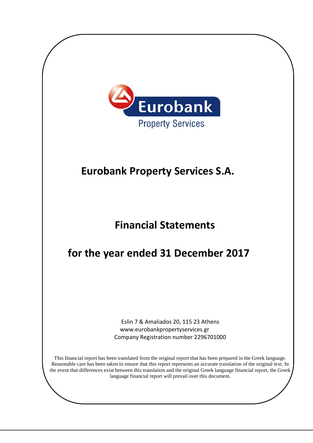

# **Eurobank Property Services S.A.**

# **Financial Statements**

# **for the year ended 31 December 2017**

Eslin 7 & Amaliados 20, 115 23 Athens www.eurobankpropertyservices.gr Company Registration number 2296701000

This financial report has been translated from the original report that has been prepared in the Greek language. Reasonable care has been taken to ensure that this report represents an accurate translation of the original text. In the event that differences exist between this translation and the original Greek language financial report, the Greek language financial report will prevail over this document.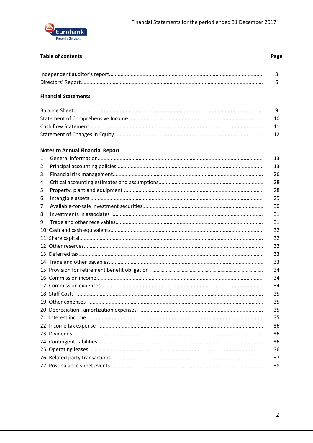

#### **Table of contents**

#### **Financial Statements**

#### **Notes to Annual Financial Report**

| 1 <sub>1</sub> | 13 |
|----------------|----|
| 2.             | 13 |
| 3.             | 26 |
| 4.             | 28 |
| 5.             | 28 |
| 6.             | 29 |
| 7.             | 30 |
| 8.             | 31 |
| 9.             | 31 |
|                | 32 |
|                | 32 |
|                | 32 |
|                | 33 |
|                | 33 |
|                | 34 |
|                | 34 |
|                | 34 |
|                | 35 |
|                | 35 |
|                | 35 |
|                | 35 |
|                | 36 |
|                | 36 |
|                | 36 |
|                | 36 |
|                | 37 |
|                | 38 |

Page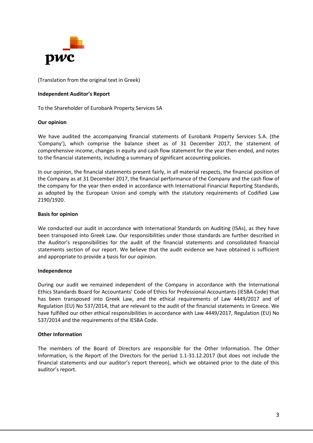

(Translation from the original text in Greek)

#### **Independent Auditor's Report**

To the Shareholder of Eurobank Property Services SA

#### **Our opinion**

We have audited the accompanying financial statements of Eurobank Property Services S.A. (the 'Company'), which comprise the balance sheet as of 31 December 2017, the statement of comprehensive income, changes in equity and cash flow statement for the year then ended, and notes to the financial statements, including a summary of significant accounting policies.

In our opinion, the financial statements present fairly, in all material respects, the financial position of the Company as at 31 December 2017, the financial performance of the Company and the cash flow of the company for the year then ended in accordance with International Financial Reporting Standards, as adopted by the European Union and comply with the statutory requirements of Codified Law 2190/1920.

#### **Basis for opinion**

We conducted our audit in accordance with International Standards on Auditing (ISAs), as they have been transposed into Greek Law. Our responsibilities under those standards are further described in the Auditor's responsibilities for the audit of the financial statements and consolidated financial statements section of our report. We believe that the audit evidence we have obtained is sufficient and appropriate to provide a basis for our opinion.

#### **Independence**

During our audit we remained independent of the Company in accordance with the International Ethics Standards Board for Accountants' Code of Ethics for Professional Accountants (IESBA Code) that has been transposed into Greek Law, and the ethical requirements of Law 4449/2017 and of Regulation (EU) No 537/2014, that are relevant to the audit of the financial statements in Greece. We have fulfilled our other ethical responsibilities in accordance with Law 4449/2017, Regulation (EU) No 537/2014 and the requirements of the IESBA Code.

#### **Other Information**

The members of the Board of Directors are responsible for the Other Information. The Other Information, is the Report of the Directors for the period 1.1-31.12.2017 (but does not include the financial statements and our auditor's report thereon), which we obtained prior to the date of this auditor's report.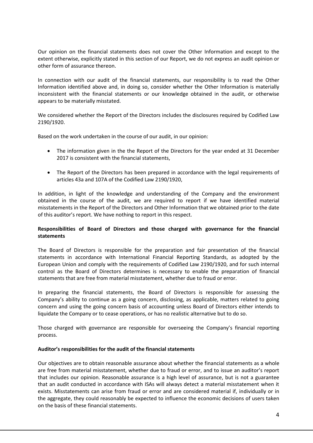Our opinion on the financial statements does not cover the Other Information and except to the extent otherwise, explicitly stated in this section of our Report, we do not express an audit opinion or other form of assurance thereon.

In connection with our audit of the financial statements, our responsibility is to read the Other Information identified above and, in doing so, consider whether the Other Information is materially inconsistent with the financial statements or our knowledge obtained in the audit, or otherwise appears to be materially misstated.

We considered whether the Report of the Directors includes the disclosures required by Codified Law 2190/1920.

Based on the work undertaken in the course of our audit, in our opinion:

- The information given in the the Report of the Directors for the year ended at 31 December 2017 is consistent with the financial statements,
- The Report of the Directors has been prepared in accordance with the legal requirements of articles 43a and 107A of the Codified Law 2190/1920,

In addition, in light of the knowledge and understanding of the Company and the environment obtained in the course of the audit, we are required to report if we have identified material misstatements in the Report of the Directors and Other Information that we obtained prior to the date of this auditor's report. We have nothing to report in this respect.

#### **Responsibilities of Board of Directors and those charged with governance for the financial statements**

The Board of Directors is responsible for the preparation and fair presentation of the financial statements in accordance with International Financial Reporting Standards, as adopted by the European Union and comply with the requirements of Codified Law 2190/1920, and for such internal control as the Board of Directors determines is necessary to enable the preparation of financial statements that are free from material misstatement, whether due to fraud or error.

In preparing the financial statements, the Board of Directors is responsible for assessing the Company's ability to continue as a going concern, disclosing, as applicable, matters related to going concern and using the going concern basis of accounting unless Board of Directors either intends to liquidate the Company or to cease operations, or has no realistic alternative but to do so.

Those charged with governance are responsible for overseeing the Company's financial reporting process.

#### **Auditor's responsibilities for the audit of the financial statements**

Our objectives are to obtain reasonable assurance about whether the financial statements as a whole are free from material misstatement, whether due to fraud or error, and to issue an auditor's report that includes our opinion. Reasonable assurance is a high level of assurance, but is not a guarantee that an audit conducted in accordance with ISAs will always detect a material misstatement when it exists. Misstatements can arise from fraud or error and are considered material if, individually or in the aggregate, they could reasonably be expected to influence the economic decisions of users taken on the basis of these financial statements.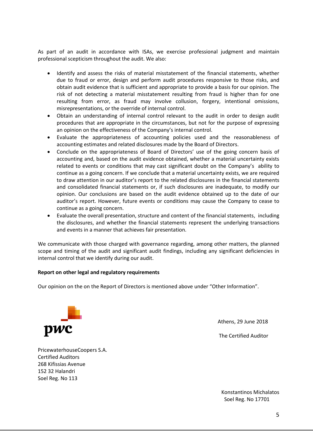As part of an audit in accordance with ISAs, we exercise professional judgment and maintain professional scepticism throughout the audit. We also:

- Identify and assess the risks of material misstatement of the financial statements, whether due to fraud or error, design and perform audit procedures responsive to those risks, and obtain audit evidence that is sufficient and appropriate to provide a basis for our opinion. The risk of not detecting a material misstatement resulting from fraud is higher than for one resulting from error, as fraud may involve collusion, forgery, intentional omissions, misrepresentations, or the override of internal control.
- Obtain an understanding of internal control relevant to the audit in order to design audit procedures that are appropriate in the circumstances, but not for the purpose of expressing an opinion on the effectiveness of the Company's internal control.
- Evaluate the appropriateness of accounting policies used and the reasonableness of accounting estimates and related disclosures made by the Board of Directors.
- Conclude on the appropriateness of Board of Directors' use of the going concern basis of accounting and, based on the audit evidence obtained, whether a material uncertainty exists related to events or conditions that may cast significant doubt on the Company's ability to continue as a going concern. If we conclude that a material uncertainty exists, we are required to draw attention in our auditor's report to the related disclosures in the financial statements and consolidated financial statements or, if such disclosures are inadequate, to modify our opinion. Our conclusions are based on the audit evidence obtained up to the date of our auditor's report. However, future events or conditions may cause the Company to cease to continue as a going concern.
- Evaluate the overall presentation, structure and content of the financial statements, including the disclosures, and whether the financial statements represent the underlying transactions and events in a manner that achieves fair presentation.

We communicate with those charged with governance regarding, among other matters, the planned scope and timing of the audit and significant audit findings, including any significant deficiencies in internal control that we identify during our audit.

#### **Report on other legal and regulatory requirements**

Our opinion on the on the Report of Directors is mentioned above under "Other Information".



Athens, 29 June 2018

The Certified Auditor

PricewaterhouseCoopers S.A. Certified Auditors 268 Kifissias Avenue 152 32 Halandri Soel Reg. No 113

> Konstantinos Michalatos Soel Reg. No 17701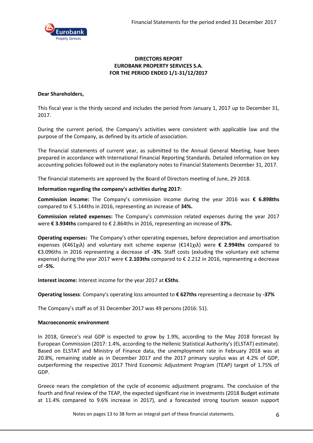

#### **DIRECTORS REPORT EUROBANK PROPERTY SERVICES S.A. FOR THE PERIOD ENDED 1/1-31/12/2017**

#### **Dear Shareholders,**

This fiscal year is the thirdy second and includes the period from January 1, 2017 up to December 31, 2017.

During the current period, the Company's activities were consistent with applicable law and the purpose of the Company, as defined by its article of association.

The financial statements of current year, as submitted to the Annual General Meeting, have been prepared in accordance with International Financial Reporting Standards. Detailed information on key accounting policies followed out in the explanatory notes to Financial Statements December 31, 2017.

The financial statements are approved by the Board of Directors meeting of June, 29 2018.

#### **Information regarding the company's activities during 2017:**

**Commission income:** The Company's commission income during the year 2016 was **€ 6.898ths** compared to € 5.144ths in 2016, representing an increase of **34%.**

**Commission related expenses:** The Company's commission related expenses during the year 2017 were **€ 3.934ths** compared to € 2.864ths in 2016, representing an increase of **37%.**

**Operating expenses:** The Company's other operating expenses, before depreciation and amortisation expenses (€461χιλ) and voluntary exit scheme expense (€141χιλ) were **€ 2.994ths** compared to €3.096ths in 2016 representing a decrease of **-3%**. Staff costs (exluding the voluntary exit scheme expense) during the year 2017 were € **2.103ths** compared to € 2.212 in 2016, representing a decrease of **-5%.**

**Interest income:** Interest income for the year 2017 at **€5ths**.

**Operating lossess**: Company's operating loss amounted to **€ 627ths** representing a decrease by **-37%**

The Company's staff as of 31 December 2017 was 49 persons (2016: 51).

#### **Macroeconomic environment**

In 2018, Greece's real GDP is expected to grow by 1.9%, according to the May 2018 forecast by European Commission (2017: 1.4%, according to the Hellenic Statistical Authority's (ELSTAT) estimate). Based on ELSTAT and Ministry of Finance data, the unemployment rate in February 2018 was at 20.8%, remaining stable as in December 2017 and the 2017 primary surplus was at 4.2% of GDP, outperforming the respective 2017 Third Economic Adjustment Program (TEAP) target of 1.75% of GDP.

Greece nears the completion of the cycle of economic adjustment programs. The conclusion of the fourth and final review of the TEAP, the expected significant rise in investments (2018 Budget estimate at 11.4% compared to 9.6% increase in 2017), and a forecasted strong tourism season support

Notes on pages 13 to 38 form an integral part of these financial statements. 6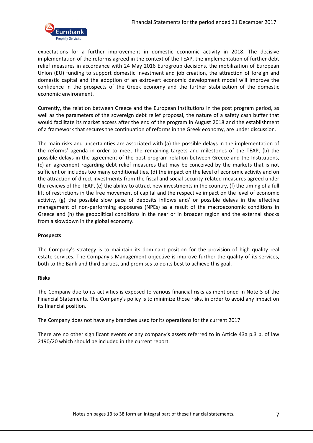

expectations for a further improvement in domestic economic activity in 2018. The decisive implementation of the reforms agreed in the context of the TEAP, the implementation of further debt relief measures in accordance with 24 May 2016 Eurogroup decisions, the mobilization of European Union (EU) funding to support domestic investment and job creation, the attraction of foreign and domestic capital and the adoption of an extrovert economic development model will improve the confidence in the prospects of the Greek economy and the further stabilization of the domestic economic environment.

Currently, the relation between Greece and the European Institutions in the post program period, as well as the parameters of the sovereign debt relief proposal, the nature of a safety cash buffer that would facilitate its market access after the end of the program in August 2018 and the establishment of a framework that secures the continuation of reforms in the Greek economy, are under discussion.

The main risks and uncertainties are associated with (a) the possible delays in the implementation of the reforms' agenda in order to meet the remaining targets and milestones of the TEAP, (b) the possible delays in the agreement of the post-program relation between Greece and the Institutions, (c) an agreement regarding debt relief measures that may be conceived by the markets that is not sufficient or includes too many conditionalities, (d) the impact on the level of economic activity and on the attraction of direct investments from the fiscal and social security-related measures agreed under the reviews of the TEAP, (e) the ability to attract new investments in the country, (f) the timing of a full lift of restrictions in the free movement of capital and the respective impact on the level of economic activity, (g) the possible slow pace of deposits inflows and/ or possible delays in the effective management of non-performing exposures (NPEs) as a result of the macroeconomic conditions in Greece and (h) the geopolitical conditions in the near or in broader region and the external shocks from a slowdown in the global economy.

#### **Prospects**

The Company's strategy is to maintain its dominant position for the provision of high quality real estate services. The Company's Management objective is improve further the quality of its services, both to the Bank and third parties, and promises to do its best to achieve this goal.

#### **Risks**

The Company due to its activities is exposed to various financial risks as mentioned in Note 3 of the Financial Statements. The Company's policy is to minimize those risks, in order to avoid any impact on its financial position.

The Company does not have any branches used for its operations for the current 2017.

There are no other significant events or any company's assets referred to in Article 43a p.3 b. of law 2190/20 which should be included in the current report.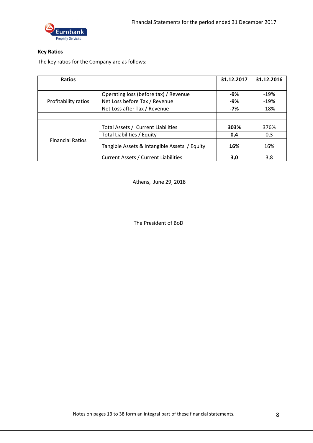

#### **Key Ratios**

The key ratios for the Company are as follows:

| <b>Ratios</b>           |                                              | 31.12.2017 | 31.12.2016 |
|-------------------------|----------------------------------------------|------------|------------|
|                         |                                              |            |            |
|                         | Operating loss (before tax) / Revenue        | $-9%$      | $-19%$     |
| Profitability ratios    | Net Loss before Tax / Revenue                | $-9%$      | $-19%$     |
|                         | Net Loss after Tax / Revenue                 | $-7%$      | $-18%$     |
|                         |                                              |            |            |
|                         | Total Assets / Current Liabilities           | 303%       | 376%       |
|                         | Total Liabilities / Equity                   | 0,4        | 0,3        |
| <b>Financial Ratios</b> | Tangible Assets & Intangible Assets / Equity | 16%        | 16%        |
|                         | Current Assets / Current Liabilities         | 3,0        | 3,8        |

Athens, June 29, 2018

The President of BoD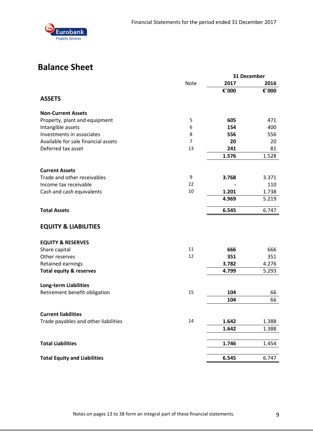

## **Balance Sheet**

|                                      |                | 31 December |       |
|--------------------------------------|----------------|-------------|-------|
|                                      | <b>Note</b>    | 2017        | 2016  |
| <b>ASSETS</b>                        |                | €'000       | €'000 |
|                                      |                |             |       |
| <b>Non-Current Assets</b>            |                |             |       |
| Property, plant and equipment        | 5              | 605         | 471   |
| Intangible assets                    | 6              | 154         | 400   |
| Investments in associates            | 8              | 556         | 556   |
| Available for sale financial assets  | $\overline{7}$ | 20          | 20    |
| Deferred tax asset                   | 13             | 241         | 81    |
|                                      |                | 1.576       | 1.528 |
| <b>Current Assets</b>                |                |             |       |
| Trade and other receivables          | 9              | 3.768       | 3.371 |
| Income tax receivable                | 22             |             | 110   |
| Cash and cash equivalents            | 10             | 1.201       | 1.738 |
|                                      |                | 4.969       | 5.219 |
| <b>Total Assets</b>                  |                | 6.545       | 6.747 |
| <b>EQUITY &amp; LIABILITIES</b>      |                |             |       |
| <b>EQUITY &amp; RESERVES</b>         |                |             |       |
| Share capital                        | 11             | 666         | 666   |
| Other reserves                       | 12             | 351         | 351   |
| Retained earnings                    |                | 3.782       | 4.276 |
| <b>Total equity &amp; reserves</b>   |                | 4.799       | 5.293 |
| <b>Long-term Liabilities</b>         |                |             |       |
| Retirement benefit obligation        | 15             | 104         | 66    |
|                                      |                | 104         | 66    |
| <b>Current liabilities</b>           |                |             |       |
| Trade payables and other liabilities | 14             | 1.642       | 1.388 |
|                                      |                | 1.642       | 1.388 |
| <b>Total Liabilities</b>             |                | 1.746       | 1.454 |
|                                      |                |             |       |
| <b>Total Equity and Liabilities</b>  |                | 6.545       | 6.747 |

Notes on pages 13 to 38 form an integral part of these financial statements. 9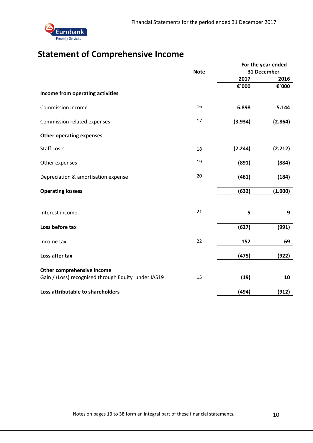

## **Statement of Comprehensive Income**

|                                                     |             | For the year ended |             |  |
|-----------------------------------------------------|-------------|--------------------|-------------|--|
|                                                     | <b>Note</b> |                    | 31 December |  |
|                                                     |             | 2017               | 2016        |  |
|                                                     |             | €'000              | €'000       |  |
| Income from operating activities                    |             |                    |             |  |
| Commission income                                   | 16          | 6.898              | 5.144       |  |
| Commission related expenses                         | 17          | (3.934)            | (2.864)     |  |
| <b>Other operating expenses</b>                     |             |                    |             |  |
| <b>Staff costs</b>                                  | 18          | (2.244)            | (2.212)     |  |
| Other expenses                                      | 19          | (891)              | (884)       |  |
| Depreciation & amortisation expense                 | 20          | (461)              | (184)       |  |
| <b>Operating lossess</b>                            |             | (632)              | (1.000)     |  |
|                                                     |             |                    |             |  |
| Interest income                                     | 21          | 5                  | 9           |  |
| Loss before tax                                     |             | (627)              | (991)       |  |
| Income tax                                          | 22          | 152                | 69          |  |
| Loss after tax                                      |             | (475)              | (922)       |  |
|                                                     |             |                    |             |  |
| Other comprehensive income                          |             |                    |             |  |
| Gain / (Loss) recognised through Equity under IAS19 | 15          | (19)               | 10          |  |
| Loss attributable to shareholders                   |             | (494)              | (912)       |  |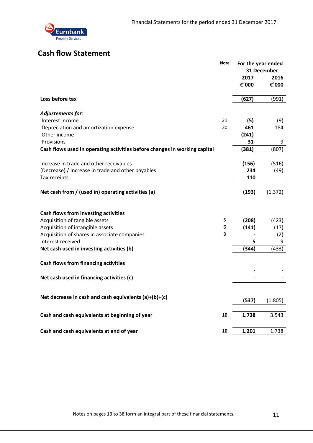

### **Cash flow Statement**

|                                                                           | <b>Note</b> | For the year ended | 31 December |
|---------------------------------------------------------------------------|-------------|--------------------|-------------|
|                                                                           |             | 2017               | 2016        |
|                                                                           |             | €'000              | €'000       |
| Loss before tax                                                           |             | (627)              | (991)       |
| Adjustements for:                                                         |             |                    |             |
| Interest income                                                           | 21          | (5)                | (9)         |
| Depreciation and amortization expense                                     | 20          | 461                | 184         |
| Other income                                                              |             | (241)              |             |
| Provisions                                                                |             | 31                 | 9           |
| Cash flows used in operating activities before changes in working capital |             | (381)              | (807)       |
| Increase in trade and other receivables                                   |             | (156)              | (516)       |
| (Decrease) / Increase in trade and other payables                         |             | 234                | (49)        |
| Tax receipts                                                              |             | 110                |             |
| Net cash from / (used in) operating activities (a)                        |             | (193)              | (1.372)     |
| Cash flows from investing activities                                      |             |                    |             |
| Acquisition of tangible assets                                            | 5           | (208)              | (423)       |
| Acquisition of intangible assets                                          | 6           | (141)              | (17)        |
| Acquisition of shares in associate companies                              | 8           |                    | (2)         |
| Interest received                                                         |             | 5                  | 9           |
| Net cash used in investing activities (b)                                 |             | (344)              | (433)       |
| <b>Cash flows from financing activities</b>                               |             |                    |             |
| Net cash used in financing activities (c)                                 |             |                    |             |
|                                                                           |             |                    |             |
| Net decrease in cash and cash equivalents (a)+(b)+(c)                     |             | (537)              | (1.805)     |
| Cash and cash equivalents at beginning of year                            | 10          | 1.738              | 3.543       |
|                                                                           |             |                    |             |
| Cash and cash equivalents at end of year                                  | 10          | 1.201              | 1.738       |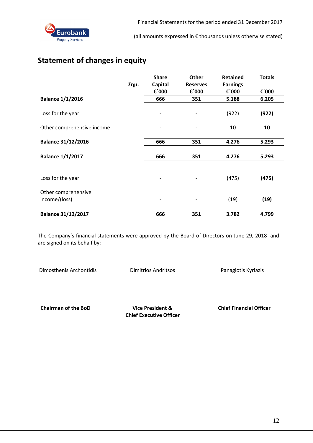

### **Statement of changes in equity**

|                                      | Σημ. | <b>Share</b><br><b>Capital</b><br>€'000 | <b>Other</b><br><b>Reserves</b><br>€'000 | <b>Retained</b><br><b>Earnings</b><br>€'000 | <b>Totals</b><br>€'000 |
|--------------------------------------|------|-----------------------------------------|------------------------------------------|---------------------------------------------|------------------------|
| <b>Balance 1/1/2016</b>              |      | 666                                     | 351                                      | 5.188                                       | 6.205                  |
| Loss for the year                    |      |                                         |                                          | (922)                                       | (922)                  |
| Other comprehensive income           |      |                                         |                                          | 10                                          | 10                     |
| <b>Balance 31/12/2016</b>            |      | 666                                     | 351                                      | 4.276                                       | 5.293                  |
| <b>Balance 1/1/2017</b>              |      | 666                                     | 351                                      | 4.276                                       | 5.293                  |
| Loss for the year                    |      |                                         |                                          | (475)                                       | (475)                  |
| Other comprehensive<br>income/(loss) |      |                                         |                                          | (19)                                        | (19)                   |
| <b>Balance 31/12/2017</b>            |      | 666                                     | 351                                      | 3.782                                       | 4.799                  |

The Company's financial statements were approved by the Board of Directors on June 29, 2018 and are signed on its behalf by:

Dimosthenis Archontidis Dimitrios Andritsos Panagiotis Kyriazis

 **Chairman of the BoD Vice President & Chief Financial Officer**

**Chief Executive Officer**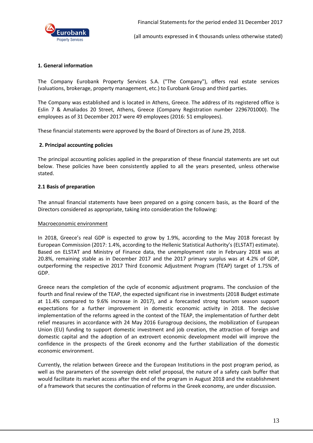

#### **1. General information**

The Company Eurobank Property Services S.A. ("The Company"), offers real estate services (valuations, brokerage, property management, etc.) to Eurobank Group and third parties.

The Company was established and is located in Athens, Greece. The address of its registered office is Eslin 7 & Amaliados 20 Street, Athens, Greece (Company Registration number 2296701000). The employees as of 31 December 2017 were 49 employees (2016: 51 employees).

These financial statements were approved by the Board of Directors as of June 29, 2018.

#### **2. Principal accounting policies**

The principal accounting policies applied in the preparation of these financial statements are set out below. These policies have been consistently applied to all the years presented, unless otherwise stated.

#### **2.1 Basis of preparation**

The annual financial statements have been prepared on a going concern basis, as the Board of the Directors considered as appropriate, taking into consideration the following:

#### Macroeconomic environment

In 2018, Greece's real GDP is expected to grow by 1.9%, according to the May 2018 forecast by European Commission (2017: 1.4%, according to the Hellenic Statistical Authority's (ELSTAT) estimate). Based on ELSTAT and Ministry of Finance data, the unemployment rate in February 2018 was at 20.8%, remaining stable as in December 2017 and the 2017 primary surplus was at 4.2% of GDP, outperforming the respective 2017 Third Economic Adjustment Program (TEAP) target of 1.75% of GDP.

Greece nears the completion of the cycle of economic adjustment programs. The conclusion of the fourth and final review of the TEAP, the expected significant rise in investments (2018 Budget estimate at 11.4% compared to 9.6% increase in 2017), and a forecasted strong tourism season support expectations for a further improvement in domestic economic activity in 2018. The decisive implementation of the reforms agreed in the context of the TEAP, the implementation of further debt relief measures in accordance with 24 May 2016 Eurogroup decisions, the mobilization of European Union (EU) funding to support domestic investment and job creation, the attraction of foreign and domestic capital and the adoption of an extrovert economic development model will improve the confidence in the prospects of the Greek economy and the further stabilization of the domestic economic environment.

Currently, the relation between Greece and the European Institutions in the post program period, as well as the parameters of the sovereign debt relief proposal, the nature of a safety cash buffer that would facilitate its market access after the end of the program in August 2018 and the establishment of a framework that secures the continuation of reforms in the Greek economy, are under discussion.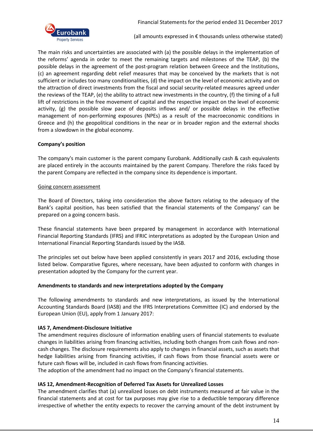

The main risks and uncertainties are associated with (a) the possible delays in the implementation of the reforms' agenda in order to meet the remaining targets and milestones of the TEAP, (b) the possible delays in the agreement of the post-program relation between Greece and the Institutions, (c) an agreement regarding debt relief measures that may be conceived by the markets that is not sufficient or includes too many conditionalities, (d) the impact on the level of economic activity and on the attraction of direct investments from the fiscal and social security-related measures agreed under the reviews of the TEAP, (e) the ability to attract new investments in the country, (f) the timing of a full lift of restrictions in the free movement of capital and the respective impact on the level of economic activity, (g) the possible slow pace of deposits inflows and/ or possible delays in the effective management of non-performing exposures (NPEs) as a result of the macroeconomic conditions in Greece and (h) the geopolitical conditions in the near or in broader region and the external shocks from a slowdown in the global economy.

#### **Company's position**

The company's main customer is the parent company Eurobank. Additionally cash & cash equivalents are placed entirely in the accounts maintained by the parent Company. Therefore the risks faced by the parent Company are reflected in the company since its dependence is important.

#### Going concern assessment

The Board of Directors, taking into consideration the above factors relating to the adequacy of the Bank's capital position, has been satisfied that the financial statements of the Companys' can be prepared on a going concern basis.

These financial statements have been prepared by management in accordance with International Financial Reporting Standards (IFRS) and IFRIC interpretations as adopted by the European Union and International Financial Reporting Standards issued by the IASB.

The principles set out below have been applied consistently in years 2017 and 2016, excluding those listed below. Comparative figures, where necessary, have been adjusted to conform with changes in presentation adopted by the Company for the current year.

#### **Amendments to standards and new interpretations adopted by the Company**

The following amendments to standards and new interpretations, as issued by the International Accounting Standards Board (IASB) and the IFRS Interpretations Committee (IC) and endorsed by the European Union (EU), apply from 1 January 2017:

#### **IAS 7, Amendment-Disclosure Initiative**

The amendment requires disclosure of information enabling users of financial statements to evaluate changes in liabilities arising from financing activities, including both changes from cash flows and noncash changes. The disclosure requirements also apply to changes in financial assets, such as assets that hedge liabilities arising from financing activities, if cash flows from those financial assets were or future cash flows will be, included in cash flows from financing activities.

The adoption of the amendment had no impact on the Company's financial statements.

#### **IAS 12, Amendment-Recognition of Deferred Tax Assets for Unrealized Losses**

The amendment clarifies that (a) unrealized losses on debt instruments measured at fair value in the financial statements and at cost for tax purposes may give rise to a deductible temporary difference irrespective of whether the entity expects to recover the carrying amount of the debt instrument by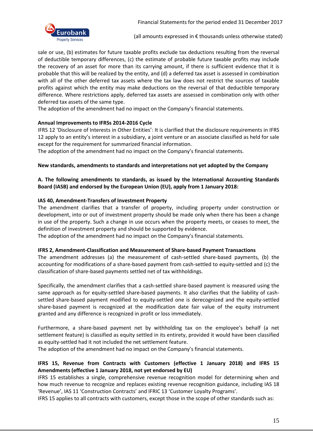

sale or use, (b) estimates for future taxable profits exclude tax deductions resulting from the reversal of deductible temporary differences, (c) the estimate of probable future taxable profits may include the recovery of an asset for more than its carrying amount, if there is sufficient evidence that it is probable that this will be realized by the entity, and (d) a deferred tax asset is assessed in combination with all of the other deferred tax assets where the tax law does not restrict the sources of taxable profits against which the entity may make deductions on the reversal of that deductible temporary difference. Where restrictions apply, deferred tax assets are assessed in combination only with other deferred tax assets of the same type.

The adoption of the amendment had no impact on the Company's financial statements.

#### **Annual Improvements to IFRSs 2014-2016 Cycle**

IFRS 12 'Disclosure of Interests in Other Entities': It is clarified that the disclosure requirements in IFRS 12 apply to an entity's interest in a subsidiary, a joint venture or an associate classified as held for sale except for the requirement for summarized financial information.

The adoption of the amendment had no impact on the Company's financial statements.

#### **New standards, amendments to standards and interpretations not yet adopted by the Company**

#### **A. The following amendments to standards, as issued by the International Accounting Standards Board (IASB) and endorsed by the European Union (EU), apply from 1 January 2018:**

#### **IAS 40, Amendment-Transfers of Investment Property**

The amendment clarifies that a transfer of property, including property under construction or development, into or out of investment property should be made only when there has been a change in use of the property. Such a change in use occurs when the property meets, or ceases to meet, the definition of investment property and should be supported by evidence.

The adoption of the amendment had no impact on the Company's financial statements.

#### **IFRS 2, Amendment-Classification and Measurement of Share-based Payment Transactions**

The amendment addresses (a) the measurement of cash-settled share-based payments, (b) the accounting for modifications of a share-based payment from cash-settled to equity-settled and (c) the classification of share-based payments settled net of tax withholdings.

Specifically, the amendment clarifies that a cash-settled share-based payment is measured using the same approach as for equity-settled share-based payments. It also clarifies that the liability of cashsettled share-based payment modified to equity-settled one is derecognized and the equity-settled share-based payment is recognized at the modification date fair value of the equity instrument granted and any difference is recognized in profit or loss immediately.

Furthermore, a share-based payment net by withholding tax on the employee's behalf (a net settlement feature) is classified as equity settled in its entirety, provided it would have been classified as equity-settled had it not included the net settlement feature.

The adoption of the amendment had no impact on the Company's financial statements.

#### **IFRS 15, Revenue from Contracts with Customers (effective 1 January 2018) and IFRS 15 Amendments (effective 1 January 2018, not yet endorsed by EU)**

IFRS 15 establishes a single, comprehensive revenue recognition model for determining when and how much revenue to recognize and replaces existing revenue recognition guidance, including IAS 18 'Revenue', IAS 11 'Construction Contracts' and IFRIC 13 'Customer Loyalty Programs'.

IFRS 15 applies to all contracts with customers, except those in the scope of other standards such as: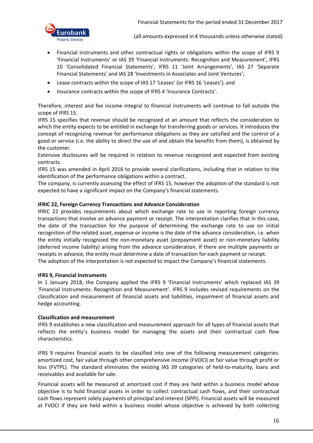

- Financial instruments and other contractual rights or obligations within the scope of IFRS 9 'Financial Instruments' or IAS 39 'Financial Instruments: Recognition and Measurement', IFRS 10 'Consolidated Financial Statements', IFRS 11 'Joint Arrangements', IAS 27 'Separate Financial Statements' and IAS 28 'Investments in Associates and Joint Ventures';
- Lease contracts within the scope of IAS 17 'Leases' (or IFRS 16 'Leases'); and
- Insurance contracts within the scope of IFRS 4 'Insurance Contracts'.

Therefore, interest and fee income integral to financial instruments will continue to fall outside the scope of IFRS 15.

IFRS 15 specifies that revenue should be recognized at an amount that reflects the consideration to which the entity expects to be entitled in exchange for transferring goods or services. It introduces the concept of recognizing revenue for performance obligations as they are satisfied and the control of a good or service (i.e. the ability to direct the use of and obtain the benefits from them), is obtained by the customer.

Extensive disclosures will be required in relation to revenue recognized and expected from existing contracts.

IFRS 15 was amended in April 2016 to provide several clarifications, including that in relation to the identification of the performance obligations within a contract.

The company, is currently assessing the effect of IFRS 15, however the adoption of the standard is not expected to have a significant impact on the Company's financial statements.

#### **IFRIC 22, Foreign Currency Transactions and Advance Consideration**

IFRIC 22 provides requirements about which exchange rate to use in reporting foreign currency transactions that involve an advance payment or receipt. The interpretation clarifies that in this case, the date of the transaction for the purpose of determining the exchange rate to use on initial recognition of the related asset, expense or income is the date of the advance consideration, i.e. when the entity initially recognized the non-monetary asset (prepayment asset) or non-monetary liability (deferred income liability) arising from the advance consideration. If there are multiple payments or receipts in advance, the entity must determine a date of transaction for each payment or receipt. The adoption of the interpretation is not expected to impact the Company's financial statements.

#### **IFRS 9, Financial Instruments**

In 1 January 2018, the Company applied the IFRS 9 'Financial Instruments' which replaced IAS 39 'Financial Instruments: Recognition and Measurement'. IFRS 9 includes revised requirements on the classification and measurement of financial assets and liabilities, impairment of financial assets and hedge accounting.

#### **Classification and measurement**

IFRS 9 establishes a new classification and measurement approach for all types of financial assets that reflects the entity's business model for managing the assets and their contractual cash flow characteristics.

IFRS 9 requires financial assets to be classified into one of the following measurement categories: amortized cost, fair value through other comprehensive income (FVOCI) or fair value through profit or loss (FVTPL). The standard eliminates the existing IAS 39 categories of held-to-maturity, loans and receivables and available for sale.

Financial assets will be measured at amortized cost if they are held within a business model whose objective is to hold financial assets in order to collect contractual cash flows, and their contractual cash flows represent solely payments of principal and interest (SPPI). Financial assets will be measured at FVOCI if they are held within a business model whose objective is achieved by both collecting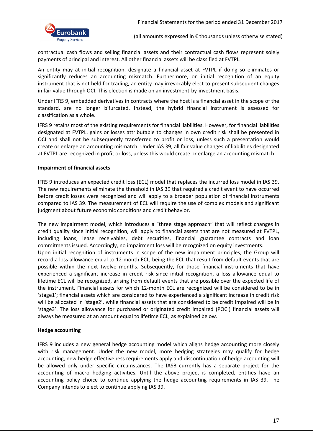

contractual cash flows and selling financial assets and their contractual cash flows represent solely payments of principal and interest. All other financial assets will be classified at FVTPL.

An entity may at initial recognition, designate a financial asset at FVTPL if doing so eliminates or significantly reduces an accounting mismatch. Furthermore, on initial recognition of an equity instrument that is not held for trading, an entity may irrevocably elect to present subsequent changes in fair value through OCI. This election is made on an investment-by-investment basis.

Under IFRS 9, embedded derivatives in contracts where the host is a financial asset in the scope of the standard, are no longer bifurcated. Instead, the hybrid financial instrument is assessed for classification as a whole.

IFRS 9 retains most of the existing requirements for financial liabilities. However, for financial liabilities designated at FVTPL, gains or losses attributable to changes in own credit risk shall be presented in OCI and shall not be subsequently transferred to profit or loss, unless such a presentation would create or enlarge an accounting mismatch. Under IAS 39, all fair value changes of liabilities designated at FVTPL are recognized in profit or loss, unless this would create or enlarge an accounting mismatch.

#### **Impairment of financial assets**

IFRS 9 introduces an expected credit loss (ECL) model that replaces the incurred loss model in IAS 39. The new requirements eliminate the threshold in IAS 39 that required a credit event to have occurred before credit losses were recognized and will apply to a broader population of financial instruments compared to IAS 39. The measurement of ECL will require the use of complex models and significant judgment about future economic conditions and credit behavior.

The new impairment model, which introduces a "three stage approach" that will reflect changes in credit quality since initial recognition, will apply to financial assets that are not measured at FVTPL, including loans, lease receivables, debt securities, financial guarantee contracts and loan commitments issued. Accordingly, no impairment loss will be recognized on equity investments. Upon initial recognition of instruments in scope of the new impairment principles, the Group will record a loss allowance equal to 12-month ECL, being the ECL that result from default events that are possible within the next twelve months. Subsequently, for those financial instruments that have experienced a significant increase in credit risk since initial recognition, a loss allowance equal to lifetime ECL will be recognized, arising from default events that are possible over the expected life of the instrument. Financial assets for which 12-month ECL are recognized will be considered to be in 'stage1'; financial assets which are considered to have experienced a significant increase in credit risk will be allocated in 'stage2', while financial assets that are considered to be credit impaired will be in 'stage3'. The loss allowance for purchased or originated credit impaired (POCI) financial assets will always be measured at an amount equal to lifetime ECL, as explained below.

#### **Hedge accounting**

IFRS 9 includes a new general hedge accounting model which aligns hedge accounting more closely with risk management. Under the new model, more hedging strategies may qualify for hedge accounting, new hedge effectiveness requirements apply and discontinuation of hedge accounting will be allowed only under specific circumstances. The IASB currently has a separate project for the accounting of macro hedging activities. Until the above project is completed, entities have an accounting policy choice to continue applying the hedge accounting requirements in IAS 39. The Company intends to elect to continue applying IAS 39.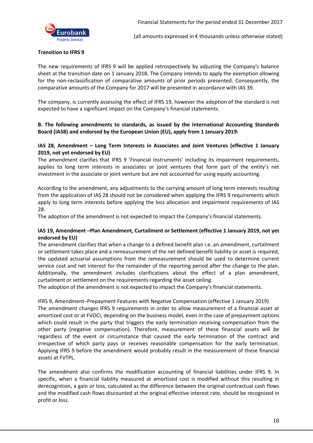

#### **Transition to IFRS 9**

The new requirements of IFRS 9 will be applied retrospectively by adjusting the Company's balance sheet at the transition date on 1 January 2018. The Company intends to apply the exemption allowing for the non-reclassification of comparative amounts of prior periods presented. Consequently, the comparative amounts of the Company for 2017 will be presented in accordance with IAS 39.

The company, is currently assessing the effect of IFRS 19, however the adoption of the standard is not expected to have a significant impact on the Company's financial statements.

#### **B. The following amendments to standards, as issued by the International Accounting Standards Board (IASB) and endorsed by the European Union (EU), apply from 1 January 2019:**

#### **IAS 28, Amendment – Long Term Interests in Associates and Joint Ventures (effective 1 January 2019, not yet endorsed by EU)**

The amendment clarifies that IFRS 9 'Financial Instruments' including its impairment requirements, applies to long term interests in associates or joint ventures that form part of the entity's net investment in the associate or joint venture but are not accounted for using equity accounting.

According to the amendment, any adjustments to the carrying amount of long term interests resulting from the application of IAS 28 should not be considered when applying the IFRS 9 requirements which apply to long term interests before applying the loss allocation and impairment requirements of IAS 28.

The adoption of the amendment is not expected to impact the Company's financial statements.

#### **IAS 19, Amendment –Plan Amendment, Curtailment or Settlement (effective 1 January 2019, not yet endorsed by EU)**

The amendment clarifies that when a change to a defined benefit plan i.e. an amendment, curtailment or settlement takes place and a remeasurement of the net defined benefit liability or asset is required, the updated actuarial assumptions from the remeasurement should be used to determine current service cost and net interest for the remainder of the reporting period after the change to the plan. Additionally, the amendment includes clarifications about the effect of a plan amendment, curtailment or settlement on the requirements regarding the asset ceiling.

The adoption of the amendment is not expected to impact the Company's financial statements.

#### IFRS 9, Amendment–Prepayment Features with Negative Compensation (effective 1 January 2019)

The amendment changes IFRS 9 requirements in order to allow measurement of a financial asset at amortized cost or at FVOCI, depending on the business model, even in the case of prepayment options which could result in the party that triggers the early termination receiving compensation from the other party (negative compensation). Therefore, measurement of these financial assets will be regardless of the event or circumstance that caused the early termination of the contract and irrespective of which party pays or receives reasonable compensation for the early termination. Applying IFRS 9 before the amendment would probably result in the measurement of these financial assets at FVTPL.

The amendment also confirms the modification accounting of financial liabilities under IFRS 9. In specific, when a financial liability measured at amortized cost is modified without this resulting in derecognition, a gain or loss, calculated as the difference between the original contractual cash flows and the modified cash flows discounted at the original effective interest rate, should be recognized in profit or loss.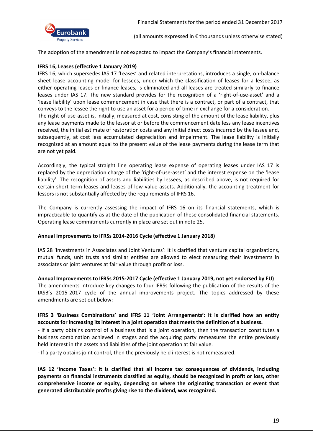

The adoption of the amendment is not expected to impact the Company's financial statements.

#### **IFRS 16, Leases (effective 1 January 2019)**

IFRS 16, which supersedes IAS 17 'Leases' and related interpretations, introduces a single, on-balance sheet lease accounting model for lessees, under which the classification of leases for a lessee, as either operating leases or finance leases, is eliminated and all leases are treated similarly to finance leases under IAS 17. The new standard provides for the recognition of a 'right-of-use-asset' and a 'lease liability' upon lease commencement in case that there is a contract, or part of a contract, that conveys to the lessee the right to use an asset for a period of time in exchange for a consideration. The right-of-use-asset is, initially, measured at cost, consisting of the amount of the lease liability, plus any lease payments made to the lessor at or before the commencement date less any lease incentives received, the initial estimate of restoration costs and any initial direct costs incurred by the lessee and, subsequently, at cost less accumulated depreciation and impairment. The lease liability is initially recognized at an amount equal to the present value of the lease payments during the lease term that are not yet paid.

Accordingly, the typical straight line operating lease expense of operating leases under IAS 17 is replaced by the depreciation charge of the 'right-of-use-asset' and the interest expense on the 'lease liability'. The recognition of assets and liabilities by lessees, as described above, is not required for certain short term leases and leases of low value assets. Additionally, the accounting treatment for lessors is not substantially affected by the requirements of IFRS 16.

The Company is currently assessing the impact of IFRS 16 on its financial statements, which is impracticable to quantify as at the date of the publication of these consolidated financial statements. Operating lease commitments currently in place are set out in note 25.

#### **Annual Improvements to IFRSs 2014-2016 Cycle (effective 1 January 2018)**

IAS 28 'Investments in Associates and Joint Ventures': It is clarified that venture capital organizations, mutual funds, unit trusts and similar entities are allowed to elect measuring their investments in associates or joint ventures at fair value through profit or loss.

#### **Annual Improvements to IFRSs 2015-2017 Cycle (effective 1 January 2019, not yet endorsed by EU)**

The amendments introduce key changes to four IFRSs following the publication of the results of the IASB's 2015-2017 cycle of the annual improvements project. The topics addressed by these amendments are set out below:

#### **IFRS 3 'Business Combinations' and IFRS 11 'Joint Arrangements': It is clarified how an entity accounts for increasing its interest in a joint operation that meets the definition of a business.**

- If a party obtains control of a business that is a joint operation, then the transaction constitutes a business combination achieved in stages and the acquiring party remeasures the entire previously held interest in the assets and liabilities of the joint operation at fair value.

- If a party obtains joint control, then the previously held interest is not remeasured.

**IAS 12 'Income Taxes': It is clarified that all income tax consequences of dividends, including payments on financial instruments classified as equity, should be recognized in profit or loss, other comprehensive income or equity, depending on where the originating transaction or event that generated distributable profits giving rise to the dividend, was recognized.**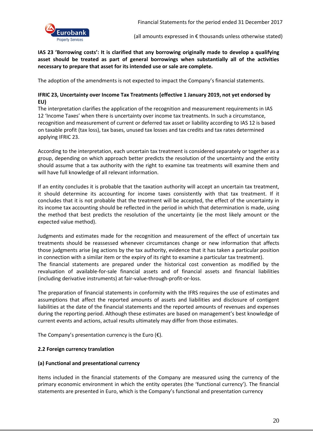

**IAS 23 'Borrowing costs': It is clarified that any borrowing originally made to develop a qualifying asset should be treated as part of general borrowings when substantially all of the activities necessary to prepare that asset for its intended use or sale are complete.** 

The adoption of the amendments is not expected to impact the Company's financial statements.

#### **IFRIC 23, Uncertainty over Income Tax Treatments (effective 1 January 2019, not yet endorsed by EU)**

The interpretation clarifies the application of the recognition and measurement requirements in IAS 12 'Income Taxes' when there is uncertainty over income tax treatments. In such a circumstance, recognition and measurement of current or deferred tax asset or liability according to IAS 12 is based on taxable profit (tax loss), tax bases, unused tax losses and tax credits and tax rates determined applying IFRIC 23.

According to the interpretation, each uncertain tax treatment is considered separately or together as a group, depending on which approach better predicts the resolution of the uncertainty and the entity should assume that a tax authority with the right to examine tax treatments will examine them and will have full knowledge of all relevant information.

If an entity concludes it is probable that the taxation authority will accept an uncertain tax treatment, it should determine its accounting for income taxes consistently with that tax treatment. If it concludes that it is not probable that the treatment will be accepted, the effect of the uncertainty in its income tax accounting should be reflected in the period in which that determination is made, using the method that best predicts the resolution of the uncertainty (ie the most likely amount or the expected value method).

Judgments and estimates made for the recognition and measurement of the effect of uncertain tax treatments should be reassessed whenever circumstances change or new information that affects those judgments arise (eg actions by the tax authority, evidence that it has taken a particular position in connection with a similar item or the expiry of its right to examine a particular tax treatment). The financial statements are prepared under the historical cost convention as modified by the revaluation of available-for-sale financial assets and of financial assets and financial liabilities (including derivative instruments) at fair-value-through-profit-or-loss.

The preparation of financial statements in conformity with the IFRS requires the use of estimates and assumptions that affect the reported amounts of assets and liabilities and disclosure of contigent liabilities at the date of the financial statements and the reported amounts of revenues and expenses during the reporting period. Although these estimates are based on management's best knowledge of current events and actions, actual results ultimately may differ from those estimates.

The Company's presentation currency is the Euro  $(\epsilon)$ .

#### **2.2 Foreign currency translation**

#### **(a) Functional and presentational currency**

Items included in the financial statements of the Company are measured using the currency of the primary economic environment in which the entity operates (the 'functional currency'). The financial statements are presented in Euro, which is the Company's functional and presentation currency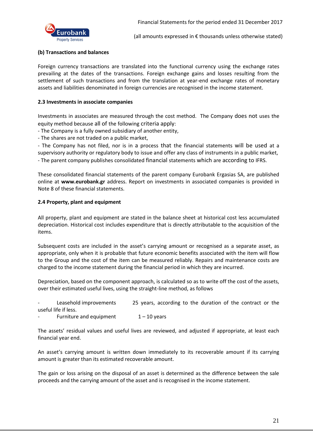

#### **(b) Transactions and balances**

Foreign currency transactions are translated into the functional currency using the exchange rates prevailing at the dates of the transactions. Foreign exchange gains and losses resulting from the settlement of such transactions and from the translation at year-end exchange rates of monetary assets and liabilities denominated in foreign currencies are recognised in the income statement.

#### **2.3 Investments in associate companies**

Investments in associates are measured through the cost method. The Company does not uses the equity method because all of the following criteria apply:

- The Company is a fully owned subsidiary of another entity,

- The shares are not traded on a public market,

- The Company has not filed, nor is in a process that the financial statements will be used at a supervisory authority or regulatory body to issue and offer any class of instruments in a public market, - The parent company publishes consolidated financial statements which are according to IFRS.

These consolidated financial statements of the parent company Eurobank Ergasias SA, are published online at **www.eurobank.gr** address. Report on investments in associated companies is provided in Note 8 of these financial statements.

#### **2.4 Property, plant and equipment**

All property, plant and equipment are stated in the balance sheet at historical cost less accumulated depreciation. Historical cost includes expenditure that is directly attributable to the acquisition of the items.

Subsequent costs are included in the asset's carrying amount or recognised as a separate asset, as appropriate, only when it is probable that future economic benefits associated with the item will flow to the Group and the cost of the item can be measured reliably. Repairs and maintenance costs are charged to the income statement during the financial period in which they are incurred.

Depreciation, based on the component approach, is calculated so as to write off the cost of the assets, over their estimated useful lives, using the straight-line method, as follows

Leasehold improvements 25 years, according to the duration of the contract or the useful life if less.

Furniture and equipment  $1 - 10$  years

The assets' residual values and useful lives are reviewed, and adjusted if appropriate, at least each financial year end.

An asset's carrying amount is written down immediately to its recoverable amount if its carrying amount is greater than its estimated recoverable amount.

The gain or loss arising on the disposal of an asset is determined as the difference between the sale proceeds and the carrying amount of the asset and is recognised in the income statement.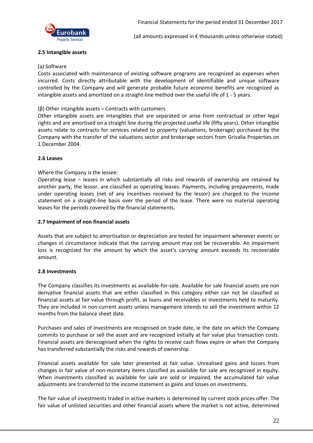

#### **2.5 Intangible assets**

#### (a) Software

Costs associated with maintenance of existing software programs are recognized as expenses when incurred. Costs directly attributable with the development of identifiable and unique software controlled by the Company and will generate probable future economic benefits are recognized as intangible assets and amortized on a straight-line method over the useful life of 1 - 5 years.

#### (β) Other intangible assets – Contracts with customers

Other intangible assets are intangibles that are separated or arise from contractual or other legal rights and are amortised on a straight line during the projected useful life (fifty years). Other intangible assets relate to contracts for services related to property (valuations, brokerage) purchased by the Company with the transfer of the valuations sector and brokerage sectors from Grivalia Properties on 1 December 2004.

#### **2.6 Leases**

#### Where the Company is the lessee:

Operating lease – leases in which substantially all risks and rewards of ownership are retained by another party, the lessor, are classified as operating leases. Payments, including prepayments, made under operating leases (net of any incentives received by the lessor) are charged to the income statement on a straight-line basis over the period of the lease. There were no material operating leases for the periods covered by the financial statements.

#### **2.7 Impairment of non financial assets**

Assets that are subject to amortisation or depreciation are tested for impairment whenever events or changes in circumstance indicate that the carrying amount may not be recoverable. An impairment loss is recognised for the amount by which the asset's carrying amount exceeds its recoverable amount.

#### **2.8 Investments**

The Company classifies its investments as available-for-sale. Available for sale financial assets are non derivative financial assets that are either classified in this category either can not be classified as financial assets at fair value through profit, as loans and receivables or investments held to maturity. They are included in non-current assets unless management intends to sell the investment within 12 months from the balance sheet date.

Purchases and sales of investments are recognised on trade date, ie the date on which the Company commits to purchase or sell the asset and are recognized initially at fair value plus transaction costs. Financial assets are derecognised when the rights to receive cash flows expire or when the Company has transferred substantially the risks and rewards of ownership.

Financial assets available for sale later presented at fair value. Unrealised gains and losses from changes in fair value of non-monetary items classified as available for sale are recognized in equity. When investments classified as available for sale are sold or impaired, the accumulated fair value adjustments are transferred to the income statement as gains and losses on investments.

The fair value of investments traded in active markets is determined by current stock prices offer. The fair value of unlisted securities and other financial assets where the market is not active, determined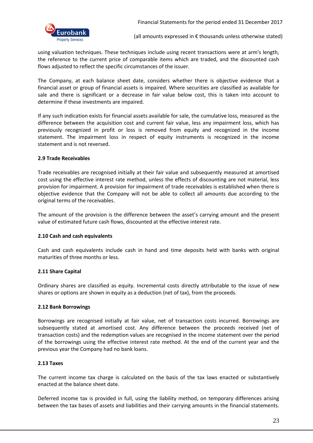

using valuation techniques. These techniques include using recent transactions were at arm's length, the reference to the current price of comparable items which are traded, and the discounted cash flows adjusted to reflect the specific circumstances of the issuer.

The Company, at each balance sheet date, considers whether there is objective evidence that a financial asset or group of financial assets is impaired. Where securities are classified as available for sale and there is significant or a decrease in fair value below cost, this is taken into account to determine if these investments are impaired.

If any such indication exists for financial assets available for sale, the cumulative loss, measured as the difference between the acquisition cost and current fair value, less any impairment loss, which has previously recognized in profit or loss is removed from equity and recognized in the income statement. The impairment loss in respect of equity instruments is recognized in the income statement and is not reversed.

#### **2.9 Trade Receivables**

Trade receivables are recognised initially at their fair value and subsequently measured at amortised cost using the effective interest rate method, unless the effects of discounting are not material, less provision for impairment. A provision for impairment of trade receivables is established when there is objective evidence that the Company will not be able to collect all amounts due according to the original terms of the receivables.

The amount of the provision is the difference between the asset's carrying amount and the present value of estimated future cash flows, discounted at the effective interest rate.

#### **2.10 Cash and cash equivalents**

Cash and cash equivalents include cash in hand and time deposits held with banks with original maturities of three months or less.

#### **2.11 Share Capital**

Ordinary shares are classified as equity. Incremental costs directly attributable to the issue of new shares or options are shown in equity as a deduction (net of tax), from the proceeds.

#### **2.12 Bank Borrowings**

Borrowings are recognised initially at fair value, net of transaction costs incurred. Borrowings are subsequently stated at amortised cost. Any difference between the proceeds received (net of transaction costs) and the redemption values are recognised in the income statement over the period of the borrowings using the effective interest rate method. At the end of the current year and the previous year the Company had no bank loans.

#### **2.13 Taxes**

The current income tax charge is calculated on the basis of the tax laws enacted or substantively enacted at the balance sheet date.

Deferred income tax is provided in full, using the liability method, on temporary differences arising between the tax bases of assets and liabilities and their carrying amounts in the financial statements.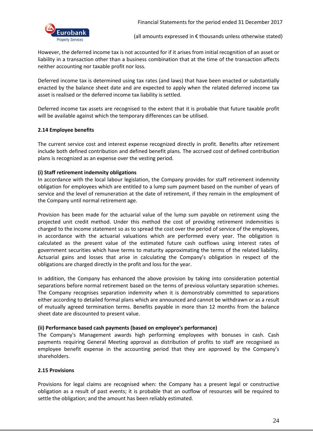

However, the deferred income tax is not accounted for if it arises from initial recognition of an asset or liability in a transaction other than a business combination that at the time of the transaction affects neither accounting nor taxable profit nor loss.

Deferred income tax is determined using tax rates (and laws) that have been enacted or substantially enacted by the balance sheet date and are expected to apply when the related deferred income tax asset is realised or the deferred income tax liability is settled.

Deferred income tax assets are recognised to the extent that it is probable that future taxable profit will be available against which the temporary differences can be utilised.

#### **2.14 Employee benefits**

The current service cost and interest expense recognized directly in profit. Benefits after retirement include both defined contribution and defined benefit plans. The accrued cost of defined contribution plans is recognized as an expense over the vesting period.

#### **(i) Staff retirement indemnity obligations**

In accordance with the local labour legislation, the Company provides for staff retirement indemnity obligation for employees which are entitled to a lump sum payment based on the number of years of service and the level of remuneration at the date of retirement, if they remain in the employment of the Company until normal retirement age.

Provision has been made for the actuarial value of the lump sum payable on retirement using the projected unit credit method. Under this method the cost of providing retirement indemnities is charged to the income statement so as to spread the cost over the period of service of the employees, in accordance with the actuarial valuations which are performed every year. The obligation is calculated as the present value of the estimated future cash outflows using interest rates of government securities which have terms to maturity approximating the terms of the related liability. Actuarial gains and losses that arise in calculating the Company's obligation in respect of the obligations are charged directly in the profit and loss for the year.

In addition, the Company has enhanced the above provision by taking into consideration potential separations before normal retirement based on the terms of previous voluntary separation schemes. The Company recognises separation indemnity when it is demonstrably committed to separations either according to detailed formal plans which are announced and cannot be withdrawn or as a result of mutually agreed termination terms. Benefits payable in more than 12 months from the balance sheet date are discounted to present value.

#### **(ii) Performance based cash payments (based on employee's performance)**

The Company's Management awards high performing employees with bonuses in cash. Cash payments requiring General Meeting approval as distribution of profits to staff are recognised as employee benefit expense in the accounting period that they are approved by the Company's shareholders.

#### **2.15 Provisions**

Provisions for legal claims are recognised when: the Company has a present legal or constructive obligation as a result of past events; it is probable that an outflow of resources will be required to settle the obligation; and the amount has been reliably estimated.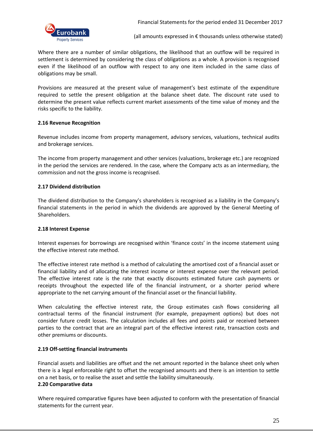Where there are a number of similar obligations, the likelihood that an outflow will be required in settlement is determined by considering the class of obligations as a whole. A provision is recognised even if the likelihood of an outflow with respect to any one item included in the same class of obligations may be small.

Provisions are measured at the present value of management's best estimate of the expenditure required to settle the present obligation at the balance sheet date. The discount rate used to determine the present value reflects current market assessments of the time value of money and the risks specific to the liability.

#### **2.16 Revenue Recognition**

Revenue includes income from property management, advisory services, valuations, technical audits and brokerage services.

The income from property management and other services (valuations, brokerage etc.) are recognized in the period the services are rendered. In the case, where the Company acts as an intermediary, the commission and not the gross income is recognised.

#### **2.17 Dividend distribution**

The dividend distribution to the Company's shareholders is recognised as a liability in the Company's financial statements in the period in which the dividends are approved by the General Meeting of Shareholders.

#### **2.18 Interest Expense**

Interest expenses for borrowings are recognised within 'finance costs' in the income statement using the effective interest rate method.

The effective interest rate method is a method of calculating the amortised cost of a financial asset or financial liability and of allocating the interest income or interest expense over the relevant period. The effective interest rate is the rate that exactly discounts estimated future cash payments or receipts throughout the expected life of the financial instrument, or a shorter period where appropriate to the net carrying amount of the financial asset or the financial liability.

When calculating the effective interest rate, the Group estimates cash flows considering all contractual terms of the financial instrument (for example, prepayment options) but does not consider future credit losses. The calculation includes all fees and points paid or received between parties to the contract that are an integral part of the effective interest rate, transaction costs and other premiums or discounts.

#### **2.19 Off-setting financial instruments**

Financial assets and liabilities are offset and the net amount reported in the balance sheet only when there is a legal enforceable right to offset the recognised amounts and there is an intention to settle on a net basis, or to realise the asset and settle the liability simultaneously.

#### **2.20 Comparative data**

Where required comparative figures have been adjusted to conform with the presentation of financial statements for the current year.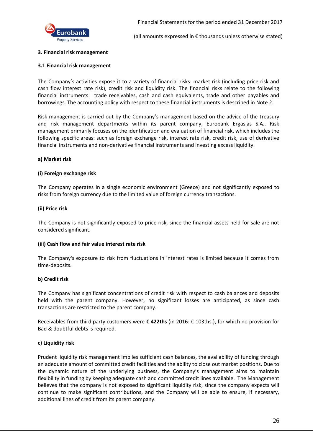

#### **3. Financial risk management**

#### **3.1 Financial risk management**

The Company's activities expose it to a variety of financial risks: market risk (including price risk and cash flow interest rate risk), credit risk and liquidity risk. The financial risks relate to the following financial instruments: trade receivables, cash and cash equivalents, trade and other payables and borrowings. The accounting policy with respect to these financial instruments is described in Note 2.

Risk management is carried out by the Company's management based on the advice of the treasury and risk management departments within its parent company, Eurobank Ergasias S.A.. Risk management primarily focuses on the identification and evaluation of financial risk, which includes the following specific areas: such as foreign exchange risk, interest rate risk, credit risk, use of derivative financial instruments and non-derivative financial instruments and investing excess liquidity.

#### **a) Market risk**

#### **(i) Foreign exchange risk**

The Company operates in a single economic environment (Greece) and not significantly exposed to risks from foreign currency due to the limited value of foreign currency transactions.

#### **(ii) Price risk**

The Company is not significantly exposed to price risk, since the financial assets held for sale are not considered significant.

#### **(iii) Cash flow and fair value interest rate risk**

The Company's exposure to risk from fluctuations in interest rates is limited because it comes from time-deposits.

#### **b) Credit risk**

The Company has significant concentrations of credit risk with respect to cash balances and deposits held with the parent company. However, no significant losses are anticipated, as since cash transactions are restricted to the parent company.

Receivables from third party customers were **€ 422ths** (in 2016: € 103ths.), for which no provision for Bad & doubtful debts is required.

#### **c) Liquidity risk**

Prudent liquidity risk management implies sufficient cash balances, the availability of funding through an adequate amount of committed credit facilities and the ability to close out market positions. Due to the dynamic nature of the underlying business, the Company's management aims to maintain flexibility in funding by keeping adequate cash and committed credit lines available. The Management believes that the company is not exposed to significant liquidity risk, since the company expects will continue to make significant contributions, and the Company will be able to ensure, if necessary, additional lines of credit from its parent company.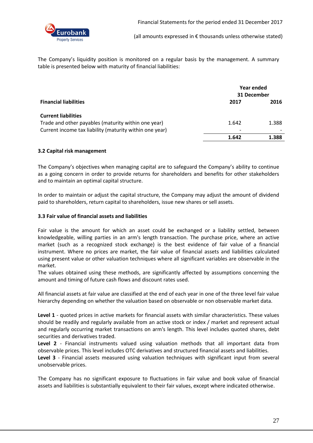

The Company's liquidity position is monitored on a regular basis by the management. A summary table is presented below with maturity of financial liabilities:

|                                                         | Year ended<br>31 December |       |
|---------------------------------------------------------|---------------------------|-------|
| <b>Financial liabilities</b>                            | 2017                      | 2016  |
| <b>Current liabilities</b>                              |                           |       |
| Trade and other payables (maturity within one year)     | 1.642                     | 1.388 |
| Current income tax liability (maturity within one year) |                           |       |
|                                                         | 1.642                     | 1.388 |

#### **3.2 Capital risk management**

The Company's objectives when managing capital are to safeguard the Company's ability to continue as a going concern in order to provide returns for shareholders and benefits for other stakeholders and to maintain an optimal capital structure.

In order to maintain or adjust the capital structure, the Company may adjust the amount of dividend paid to shareholders, return capital to shareholders, issue new shares or sell assets.

#### **3.3 Fair value of financial assets and liabilities**

Fair value is the amount for which an asset could be exchanged or a liability settled, between knowledgeable, willing parties in an arm's length transaction. The purchase price, where an active market (such as a recognized stock exchange) is the best evidence of fair value of a financial instrument. Where no prices are market, the fair value of financial assets and liabilities calculated using present value or other valuation techniques where all significant variables are observable in the market.

The values obtained using these methods, are significantly affected by assumptions concerning the amount and timing of future cash flows and discount rates used.

All financial assets at fair value are classified at the end of each year in one of the three level fair value hierarchy depending on whether the valuation based on observable or non observable market data.

**Level 1** - quoted prices in active markets for financial assets with similar characteristics. These values should be readily and regularly available from an active stock or index / market and represent actual and regularly occurring market transactions on arm's length. This level includes quoted shares, debt securities and derivatives traded.

**Level 2** - Financial instruments valued using valuation methods that all important data from observable prices. This level includes OTC derivatives and structured financial assets and liabilities. **Level 3** - Financial assets measured using valuation techniques with significant input from several unobservable prices.

The Company has no significant exposure to fluctuations in fair value and book value of financial assets and liabilities is substantially equivalent to their fair values, except where indicated otherwise.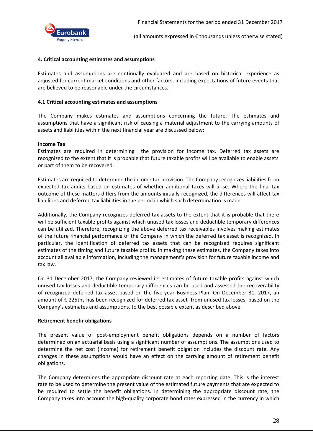

#### **4. Critical accounting estimates and assumptions**

Estimates and assumptions are continually evaluated and are based on historical experience as adjusted for current market conditions and other factors, including expectations of future events that are believed to be reasonable under the circumstances.

#### **4.1 Critical accounting estimates and assumptions**

The Company makes estimates and assumptions concerning the future. The estimates and assumptions that have a significant risk of causing a material adjustment to the carrying amounts of assets and liabilities within the next financial year are discussed below:

#### **Income Tax**

Estimates are required in determining the provision for income tax. Deferred tax assets are recognized to the extent that it is probable that future taxable profits will be available to enable assets or part of them to be recovered.

Estimates are required to determine the income tax provision. The Company recognizes liabilities from expected tax audits based on estimates of whether additional taxes will arise. Where the final tax outcome of these matters differs from the amounts initially recognized, the differences will affect tax liabilities and deferred tax liabilities in the period in which such determination is made.

Additionally, the Company recognizes deferred tax assets to the extent that it is probable that there will be sufficient taxable profits against which unused tax losses and deductible temporary differences can be utilized. Therefore, recognizing the above deferred tax receivables involves making estimates of the future financial performance of the Company in which the deferred tax asset is recognized. In particular, the identification of deferred tax assets that can be recognized requires significant estimates of the timing and future taxable profits. In making these estimates, the Company takes into account all available information, including the management's provision for future taxable income and tax law.

On 31 December 2017, the Company reviewed its estimates of future taxable profits against which unused tax losses and deductible temporary differences can be used and assessed the recoverability of recognized deferred tax asset based on the five-year Business Plan. On December 31, 2017, an amount of € 225ths has been recognized for deferred tax asset from unused tax losses, based on the Company's estimates and assumptions, to the best possible extent as described above.

#### **Retirement benefir obligations**

The present value of post-employment benefit obligations depends on a number of factors determined on an actuarial basis using a significant number of assumptions. The assumptions used to determine the net cost (income) for retirement benefit obigation includes the discount rate. Any changes in these assumptions would have an effect on the carrying amount of retirement benefit obligations.

The Company determines the appropriate discount rate at each reporting date. This is the interest rate to be used to determine the present value of the estimated future payments that are expected to be required to settle the benefit obligations. In determining the appropriate discount rate, the Company takes into account the high-quality corporate bond rates expressed in the currency in which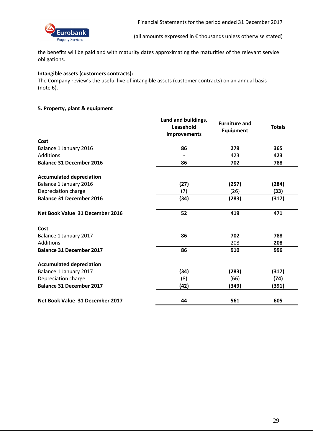

the benefits will be paid and with maturity dates approximating the maturities of the relevant service obligations.

#### **Intangible assets (customers contracts):**

The Company review's the useful live of intangible assets (customer contracts) on an annual basis (note 6).

#### **5. Property, plant & equipment**

|                                 | Land and buildings,<br>Leasehold<br>improvements | <b>Furniture and</b><br><b>Equipment</b> | <b>Totals</b> |
|---------------------------------|--------------------------------------------------|------------------------------------------|---------------|
| Cost                            |                                                  |                                          |               |
| Balance 1 January 2016          | 86                                               | 279                                      | 365           |
| Additions                       |                                                  | 423                                      | 423           |
| <b>Balance 31 December 2016</b> | 86                                               | 702                                      | 788           |
| <b>Accumulated depreciation</b> |                                                  |                                          |               |
| Balance 1 January 2016          | (27)                                             | (257)                                    | (284)         |
| Depreciation charge             | (7)                                              | (26)                                     | (33)          |
| <b>Balance 31 December 2016</b> | (34)                                             | (283)                                    | (317)         |
| Net Book Value 31 December 2016 | 52                                               | 419                                      | 471           |
| Cost                            |                                                  |                                          |               |
| Balance 1 January 2017          | 86                                               | 702                                      | 788           |
| Additions                       |                                                  | 208                                      | 208           |
| <b>Balance 31 December 2017</b> | 86                                               | 910                                      | 996           |
| <b>Accumulated depreciation</b> |                                                  |                                          |               |
| Balance 1 January 2017          | (34)                                             | (283)                                    | (317)         |
| Depreciation charge             | (8)                                              | (66)                                     | (74)          |
| <b>Balance 31 December 2017</b> | (42)                                             | (349)                                    | (391)         |
| Net Book Value 31 December 2017 | 44                                               | 561                                      | 605           |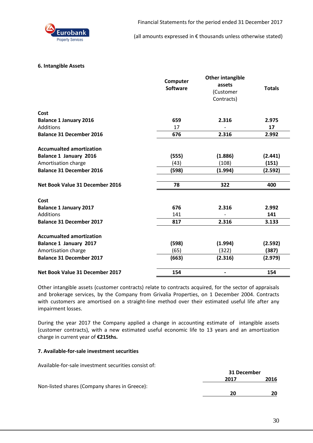

#### **6. Intangible Assets**

|                                 | Computer<br><b>Software</b> | <b>Other intangible</b><br>assets<br>(Customer<br>Contracts) | <b>Totals</b> |
|---------------------------------|-----------------------------|--------------------------------------------------------------|---------------|
| Cost                            |                             |                                                              |               |
| <b>Balance 1 January 2016</b>   | 659                         | 2.316                                                        | 2.975         |
| Additions                       | 17                          |                                                              | 17            |
| <b>Balance 31 December 2016</b> | 676                         | 2.316                                                        | 2.992         |
| <b>Accumualted amortization</b> |                             |                                                              |               |
| <b>Balance 1 January 2016</b>   | (555)                       | (1.886)                                                      | (2.441)       |
| Amortisation charge             | (43)                        | (108)                                                        | (151)         |
| <b>Balance 31 December 2016</b> | (598)                       | (1.994)                                                      | (2.592)       |
| Net Book Value 31 December 2016 | 78                          | 322                                                          | 400           |
| Cost                            |                             |                                                              |               |
| <b>Balance 1 January 2017</b>   | 676                         | 2.316                                                        | 2.992         |
| Additions                       | 141                         |                                                              | 141           |
| <b>Balance 31 December 2017</b> | 817                         | 2.316                                                        | 3.133         |
| <b>Accumualted amortization</b> |                             |                                                              |               |
| Balance 1 January 2017          | (598)                       | (1.994)                                                      | (2.592)       |
| Amortisation charge             | (65)                        | (322)                                                        | (387)         |
| <b>Balance 31 December 2017</b> | (663)                       | (2.316)                                                      | (2.979)       |
| Net Book Value 31 December 2017 | 154                         |                                                              | 154           |

Other intangible assets (customer contracts) relate to contracts acquired, for the sector of appraisals and brokerage services, by the Company from Grivalia Properties, on 1 December 2004. Contracts with customers are amortised on a straight-line method over their estimated useful life after any impairment losses.

During the year 2017 the Company applied a change in accounting estimate of intangible assets (customer contracts), with a new estimated useful economic life to 13 years and an amortization charge in current year of **€215ths.**

#### **7. Available-for-sale investment securities**

Available-for-sale investment securities consist of:

|                                               | 31 December |      |
|-----------------------------------------------|-------------|------|
|                                               | 2017        | 2016 |
| Non-listed shares (Company shares in Greece): |             |      |
|                                               | 20          | 20   |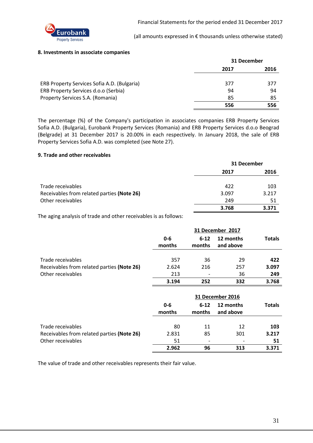

#### **8. Investments in associate companies**

|                                             | 31 December |      |
|---------------------------------------------|-------------|------|
|                                             | 2017        | 2016 |
| ERB Property Services Sofia A.D. (Bulgaria) | 377         | 377  |
| ERB Property Services d.o.o (Serbia)        | 94          | 94   |
| Property Services S.A. (Romania)            | 85          | 85   |
|                                             | 556         | 556  |

The percentage (%) of the Company's participation in associates companies ERB Property Services Sofia A.D. (Bulgaria), Eurobank Property Services (Romania) and ERB Property Services d.o.o Beograd (Belgrade) at 31 December 2017 is 20.00% in each respectively. In January 2018, the sale of ERB Property Services Sofia A.D. was completed (see Note 27).

#### **9. Trade and other receivables**

|                                            | 31 December |       |
|--------------------------------------------|-------------|-------|
|                                            | 2017        | 2016  |
| Trade receivables                          | 422         | 103   |
| Receivables from related parties (Note 26) | 3.097       | 3.217 |
| Other receivables                          | 249         | 51    |
|                                            | 3.768       | 3.371 |

The aging analysis of trade and other receivables is as follows:

|                                            |                   |                    | 31 December 2017       |               |
|--------------------------------------------|-------------------|--------------------|------------------------|---------------|
|                                            | $0 - 6$<br>months | $6 - 12$<br>months | 12 months<br>and above | <b>Totals</b> |
|                                            |                   |                    |                        |               |
| Trade receivables                          | 357               | 36                 | 29                     | 422           |
| Receivables from related parties (Note 26) | 2.624             | 216                | 257                    | 3.097         |
| Other receivables                          | 213               |                    | 36                     | 249           |
|                                            | 3.194             | 252                | 332                    | 3.768         |
|                                            |                   |                    | 31 December 2016       |               |
|                                            | $0 - 6$<br>months | $6 - 12$<br>months | 12 months<br>and above | <b>Totals</b> |
| Trade receivables                          | 80                | 11                 | 12                     | 103           |
| Receivables from related parties (Note 26) | 2.831             | 85                 | 301                    | 3.217         |
| Other receivables                          | 51                |                    |                        | 51            |

The value of trade and other receivables represents their fair value.

**2.962 96 313 3.371**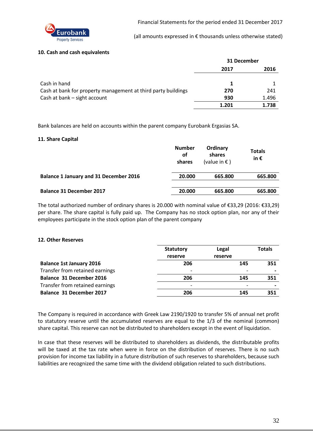

#### **10. Cash and cash equivalents**

|                                                               | 31 December |       |
|---------------------------------------------------------------|-------------|-------|
|                                                               | 2017        | 2016  |
| Cash in hand                                                  | 1           |       |
| Cash at bank for property management at third party buildings | 270         | 241   |
| Cash at bank – sight account                                  | 930         | 1.496 |
|                                                               | 1.201       | 1.738 |

Bank balances are held on accounts within the parent company Eurobank Ergasias SA.

#### **11. Share Capital**

|                                               | <b>Number</b><br>οf<br>shares | Ordinary<br>shares<br>(value in $\epsilon$ ) | <b>Totals</b><br>in $\epsilon$ |
|-----------------------------------------------|-------------------------------|----------------------------------------------|--------------------------------|
| <b>Balance 1 January and 31 December 2016</b> | 20.000                        | 665.800                                      | 665.800                        |
| <b>Balance 31 December 2017</b>               | 20.000                        | 665.800                                      | 665.800                        |

The total authorized number of ordinary shares is 20.000 with nominal value of €33,29 (2016: €33,29) per share. The share capital is fully paid up. The Company has no stock option plan, nor any of their employees participate in the stock option plan of the parent company

#### **12. Other Reserves**

|                                 | <b>Statutory</b>         | Legal                    | <b>Totals</b> |
|---------------------------------|--------------------------|--------------------------|---------------|
|                                 | reserve                  | reserve                  |               |
| <b>Balance 1st January 2016</b> | 206                      | 145                      | 351           |
| Transfer from retained earnings | $\overline{\phantom{0}}$ | $\overline{\phantom{0}}$ |               |
| <b>Balance 31 December 2016</b> | 206                      | 145                      | 351           |
| Transfer from retained earnings | $\overline{\phantom{0}}$ |                          |               |
| Balance 31 December 2017        | 206                      | 145                      | 351           |

The Company is required in accordance with Greek Law 2190/1920 to transfer 5% of annual net profit to statutory reserve until the accumulated reserves are equal to the 1/3 of the nominal (common) share capital. This reserve can not be distributed to shareholders except in the event of liquidation.

In case that these reserves will be distributed to shareholders as dividends, the distributable profits will be taxed at the tax rate when were in force on the distribution of reserves. There is no such provision for income tax liability in a future distribution of such reserves to shareholders, because such liabilities are recognized the same time with the dividend obligation related to such distributions.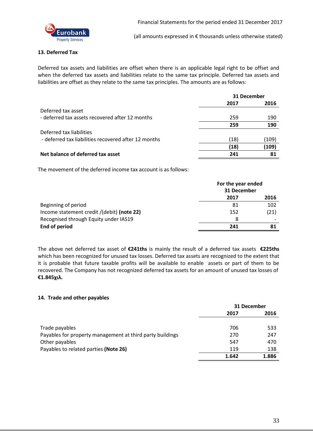

#### **13. Deferred Tax**

Deferred tax assets and liabilities are offset when there is an applicable legal right to be offset and when the deferred tax assets and liabilities relate to the same tax principle. Deferred tax assets and liabilities are offset as they relate to the same tax principles. The amounts are as follows:

|                                                      | 31 December |       |
|------------------------------------------------------|-------------|-------|
|                                                      | 2017        | 2016  |
| Deferred tax asset                                   |             |       |
| - deferred tax assets recovered after 12 months      | 259         | 190   |
|                                                      | 259         | 190   |
| Deferred tax liabilities                             |             |       |
| - deferred tax liabilities recovered after 12 months | (18)        | (109) |
|                                                      | (18)        | (109) |
| Net balance of deferred tax asset                    | 241         | 81    |

The movement of the deferred income tax account is as follows:

|                                            | For the year ended<br>31 December |      |
|--------------------------------------------|-----------------------------------|------|
|                                            | 2017                              | 2016 |
| Beginning of period                        | 81                                | 102  |
| Income statement credit /(debit) (note 22) | 152                               | (21) |
| Recognised through Equity under IAS19      | 8                                 |      |
| End of period                              | 241                               | 81   |

The above net deferred tax asset of **€241ths** is mainly the result of a deferred tax assets **€225ths** which has been recognized for unused tax losses. Deferred tax assets are recognized to the extent that it is probable that future taxable profits will be available to enable assets or part of them to be recovered. The Company has not recognized deferred tax assets for an amount of unused tax losses of **€1.845χιλ.**

#### **14. Trade and other payables**

|                                                           | 31 December |       |
|-----------------------------------------------------------|-------------|-------|
|                                                           | 2017        | 2016  |
|                                                           |             |       |
| Trade payables                                            | 706         | 533   |
| Payables for property management at third party buildings | 270         | 247   |
| Other payables                                            | 547         | 470   |
| Payables to related parties (Note 26)                     | 119         | 138   |
|                                                           | 1.642       | 1.886 |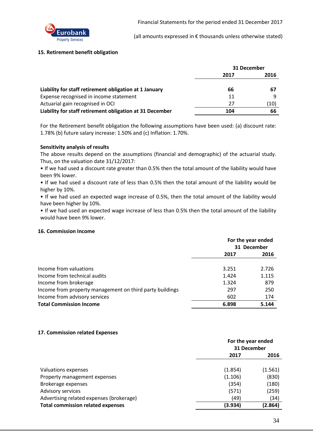

#### **15. Retirement benefit obligation**

|                                                          | 31 December |      |
|----------------------------------------------------------|-------------|------|
|                                                          | 2017        | 2016 |
|                                                          |             |      |
| Liability for staff retirement obligation at 1 January   | 66          | -67  |
| Expense recognised in income statement                   | 11          |      |
| Actuarial gain recognised in OCI                         | 27          | (10) |
| Liability for staff retirement obligation at 31 December | 104         | 66   |

For the Retirement benefit obligation the following assumptions have been used: (a) discount rate: 1.78% (b) future salary increase: 1.50% and (c) Inflation: 1.70%.

#### **Sensitivity analysis of results**

The above results depend on the assumptions (financial and demographic) of the actuarial study. Thus, on the valuation date 31/12/2017:

• If we had used a discount rate greater than 0.5% then the total amount of the liability would have been 9% lower.

• If we had used a discount rate of less than 0.5% then the total amount of the liability would be higher by 10%.

• If we had used an expected wage increase of 0.5%, then the total amount of the liability would have been higher by 10%.

• If we had used an expected wage increase of less than 0.5% then the total amount of the liability would have been 9% lower.

#### **16. Commission Income**

|                                                          | For the year ended<br>31 December |       |
|----------------------------------------------------------|-----------------------------------|-------|
|                                                          | 2017                              | 2016  |
| Income from valuations                                   | 3.251                             | 2.726 |
| Income from technical audits                             | 1.424                             | 1.115 |
| Income from brokerage                                    | 1.324                             | 879   |
| Income from property management on third party buildings | 297                               | 250   |
| Income from advisory services                            | 602                               | 174   |
| <b>Total Commission Income</b>                           | 6.898                             | 5.144 |

#### **17. Commission related Expenses**

|                                          | For the year ended<br>31 December |         |
|------------------------------------------|-----------------------------------|---------|
|                                          | 2017                              | 2016    |
| Valuations expenses                      | (1.854)                           | (1.561) |
| Property management expenses             | (1.106)                           | (830)   |
| Brokerage expenses                       | (354)                             | (180)   |
| Advisory services                        | (571)                             | (259)   |
| Advertising related expenses (brokerage) | (49)                              | (34)    |
| <b>Total commission related expenses</b> | (3.934)                           | (2.864) |
|                                          |                                   |         |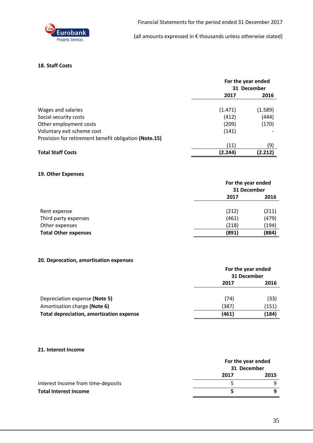

#### **18. Staff Costs**

|                                                       | For the year ended<br>31 December |         |
|-------------------------------------------------------|-----------------------------------|---------|
|                                                       | 2017                              | 2016    |
| Wages and salaries                                    | (1.471)                           | (1.589) |
| Social security costs                                 | (412)                             | (444)   |
| Other employment costs                                | (209)                             | (170)   |
| Voluntary exit scheme cost                            | (141)                             |         |
| Provision for retirement benefit obligation (Note.15) |                                   |         |
|                                                       | (11)                              | (9)     |
| <b>Total Staff Costs</b>                              | (2.244)                           | (2.212) |

#### **19. Other Expenses**

|                             | For the year ended<br>31 December |       |
|-----------------------------|-----------------------------------|-------|
|                             | 2017                              | 2016  |
| Rent expense                | (212)                             | (211) |
| Third party expenses        | (461)                             | (479) |
| Other expenses              | (218)                             | (194) |
| <b>Total Other expenses</b> | (891)                             | (884) |

#### **20. Deprecation, amortisation expenses**

|                                                 | For the year ended<br>31 December |       |
|-------------------------------------------------|-----------------------------------|-------|
|                                                 | 2017                              | 2016  |
| Depreciation expense (Note 5)                   | (74)                              | (33)  |
| Amortisation charge (Note 6)                    | (387)                             | (151) |
| <b>Total depreciation, amortization expense</b> | (461)                             | (184) |

#### **21. Interest Income**

|                                    |             | For the year ended |  |
|------------------------------------|-------------|--------------------|--|
|                                    | 31 December |                    |  |
|                                    | 2017        | 2015               |  |
| Interest Income from time-deposits |             |                    |  |
| <b>Total Interest Income</b>       |             |                    |  |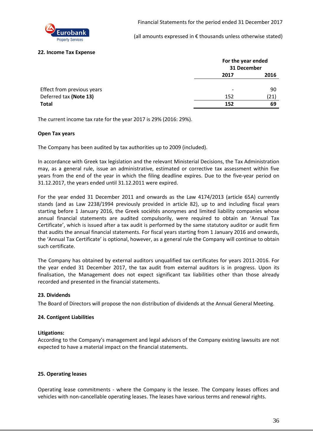

#### **22. Income Tax Expense**

|                            | For the year ended<br>31 December |      |
|----------------------------|-----------------------------------|------|
|                            | 2017                              | 2016 |
| Effect from previous years |                                   | 90   |
| Deferred tax (Note 13)     | 152                               | (21) |
| <b>Total</b>               | 152                               | 69   |

The current income tax rate for the year 2017 is 29% (2016: 29%).

#### **Open Tax years**

The Company has been audited by tax authorities up to 2009 (included).

In accordance with Greek tax legislation and the relevant Ministerial Decisions, the Tax Administration may, as a general rule, issue an administrative, estimated or corrective tax assessment within five years from the end of the year in which the filing deadline expires. Due to the five-year period on 31.12.2017, the years ended until 31.12.2011 were expired.

For the year ended 31 December 2011 and onwards as the Law 4174/2013 (article 65A) currently stands (and as Law 2238/1994 previously provided in article 82), up to and including fiscal years starting before 1 January 2016, the Greek sociétés anonymes and limited liability companies whose annual financial statements are audited compulsorily, were required to obtain an 'Annual Tax Certificate', which is issued after a tax audit is performed by the same statutory auditor or audit firm that audits the annual financial statements. For fiscal years starting from 1 January 2016 and onwards, the 'Annual Tax Certificate' is optional, however, as a general rule the Company will continue to obtain such certificate.

The Company has obtained by external auditors unqualified tax certificates for years 2011-2016. For the year ended 31 December 2017, the tax audit from external auditors is in progress. Upon its finalisation, the Management does not expect significant tax liabilities other than those already recorded and presented in the financial statements.

#### **23. Dividends**

The Board of Directors will propose the non distribution of dividends at the Annual General Meeting.

#### **24. Contigent Liabilities**

#### **Litigations:**

According to the Company's management and legal advisors of the Company existing lawsuits are not expected to have a material impact on the financial statements.

#### **25. Operating leases**

Operating lease commitments - where the Company is the lessee. The Company leases offices and vehicles with non-cancellable operating leases. The leases have various terms and renewal rights.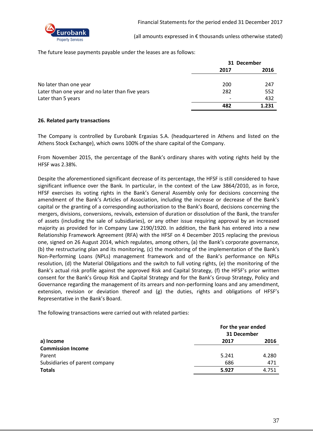

The future lease payments payable under the leases are as follows:

|                                                  | 31 December |       |
|--------------------------------------------------|-------------|-------|
|                                                  | 2017        | 2016  |
| No later than one year                           | 200         | 247   |
| Later than one year and no later than five years | 282         | 552   |
| Later than 5 years                               |             | 432   |
|                                                  | 482         | 1.231 |

#### **26. Related party transactions**

The Company is controlled by Eurobank Ergasias S.A. (headquartered in Athens and listed on the Athens Stock Exchange), which owns 100% of the share capital of the Company.

From November 2015, the percentage of the Bank's ordinary shares with voting rights held by the HFSF was 2.38%.

Despite the aforementioned significant decrease of its percentage, the HFSF is still considered to have significant influence over the Bank. In particular, in the context of the Law 3864/2010, as in force, HFSF exercises its voting rights in the Bank's General Assembly only for decisions concerning the amendment of the Bank's Articles of Association, including the increase or decrease of the Bank's capital or the granting of a corresponding authorization to the Bank's Board, decisions concerning the mergers, divisions, conversions, revivals, extension of duration or dissolution of the Bank, the transfer of assets (including the sale of subsidiaries), or any other issue requiring approval by an increased majority as provided for in Company Law 2190/1920. In addition, the Bank has entered into a new Relationship Framework Agreement (RFA) with the HFSF on 4 December 2015 replacing the previous one, signed on 26 August 2014, which regulates, among others, (a) the Bank's corporate governance, (b) the restructuring plan and its monitoring, (c) the monitoring of the implementation of the Bank's Non-Performing Loans (NPLs) management framework and of the Bank's performance on NPLs resolution, (d) the Material Obligations and the switch to full voting rights, (e) the monitoring of the Bank's actual risk profile against the approved Risk and Capital Strategy, (f) the HFSF's prior written consent for the Bank's Group Risk and Capital Strategy and for the Bank's Group Strategy, Policy and Governance regarding the management of its arrears and non-performing loans and any amendment, extension, revision or deviation thereof and (g) the duties, rights and obligations of HFSF's Representative in the Bank's Board.

The following transactions were carried out with related parties:

|                                | For the year ended<br>31 December |       |
|--------------------------------|-----------------------------------|-------|
| a) Income                      | 2017                              | 2016  |
| <b>Commission Income</b>       |                                   |       |
| Parent                         | 5.241                             | 4.280 |
| Subsidiaries of parent company | 686                               | 471   |
| <b>Totals</b>                  | 5.927                             | 4.751 |